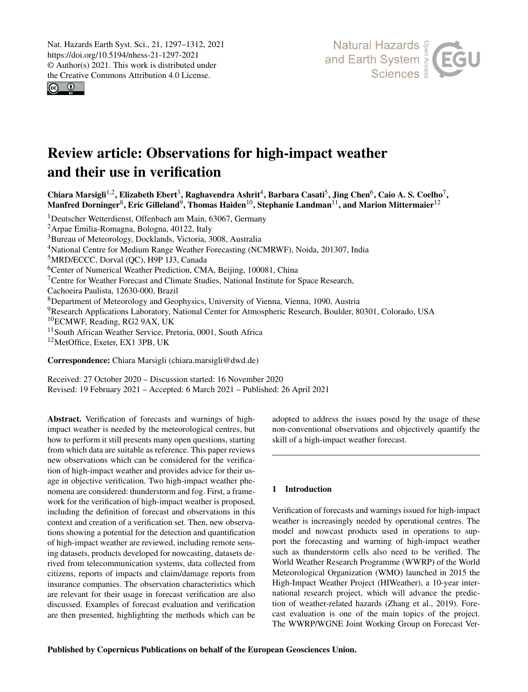Nat. Hazards Earth Syst. Sci., 21, 1297–1312, 2021 https://doi.org/10.5194/nhess-21-1297-2021 © Author(s) 2021. This work is distributed under the Creative Commons Attribution 4.0 License.

 $\boxed{6}$ 



# Review article: Observations for high-impact weather and their use in verification

Chiara Marsigli<sup>[1,2](#page-0-0)</sup>, Elizabeth Ebert<sup>[3](#page-0-0)</sup>, Raghavendra Ashrit<sup>[4](#page-0-0)</sup>, Barbara Casati<sup>[5](#page-0-0)</sup>, Jing Chen<sup>[6](#page-0-0)</sup>, Caio A. S. Coelho<sup>[7](#page-0-0)</sup>, Manfred Dorninger $^8$  $^8$ , Eric Gilleland $^9$  $^9$ , Thomas Haiden $^{10}$  $^{10}$  $^{10}$ , Stephanie Landman $^{11}$  $^{11}$  $^{11}$ , and Marion Mittermaier $^{12}$  $^{12}$  $^{12}$ 

Deutscher Wetterdienst, Offenbach am Main, 63067, Germany Arpae Emilia-Romagna, Bologna, 40122, Italy Bureau of Meteorology, Docklands, Victoria, 3008, Australia <sup>4</sup>National Centre for Medium Range Weather Forecasting (NCMRWF), Noida, 201307, India MRD/ECCC, Dorval (QC), H9P 1J3, Canada <sup>6</sup>Center of Numerical Weather Prediction, CMA, Beijing, 100081, China Centre for Weather Forecast and Climate Studies, National Institute for Space Research, Cachoeira Paulista, 12630-000, Brazil Department of Meteorology and Geophysics, University of Vienna, Vienna, 1090, Austria Research Applications Laboratory, National Center for Atmospheric Research, Boulder, 80301, Colorado, USA ECMWF, Reading, RG2 9AX, UK <sup>11</sup> South African Weather Service, Pretoria, 0001, South Africa <sup>12</sup>MetOffice, Exeter, EX1 3PB, UK

Correspondence: Chiara Marsigli (chiara.marsigli@dwd.de)

Received: 27 October 2020 – Discussion started: 16 November 2020 Revised: 19 February 2021 – Accepted: 6 March 2021 – Published: 26 April 2021

<span id="page-0-0"></span>Abstract. Verification of forecasts and warnings of highimpact weather is needed by the meteorological centres, but how to perform it still presents many open questions, starting from which data are suitable as reference. This paper reviews new observations which can be considered for the verification of high-impact weather and provides advice for their usage in objective verification. Two high-impact weather phenomena are considered: thunderstorm and fog. First, a framework for the verification of high-impact weather is proposed, including the definition of forecast and observations in this context and creation of a verification set. Then, new observations showing a potential for the detection and quantification of high-impact weather are reviewed, including remote sensing datasets, products developed for nowcasting, datasets derived from telecommunication systems, data collected from citizens, reports of impacts and claim/damage reports from insurance companies. The observation characteristics which are relevant for their usage in forecast verification are also discussed. Examples of forecast evaluation and verification are then presented, highlighting the methods which can be

adopted to address the issues posed by the usage of these non-conventional observations and objectively quantify the skill of a high-impact weather forecast.

# 1 Introduction

Verification of forecasts and warnings issued for high-impact weather is increasingly needed by operational centres. The model and nowcast products used in operations to support the forecasting and warning of high-impact weather such as thunderstorm cells also need to be verified. The World Weather Research Programme (WWRP) of the World Meteorological Organization (WMO) launched in 2015 the High-Impact Weather Project (HIWeather), a 10-year international research project, which will advance the prediction of weather-related hazards (Zhang et al., 2019). Forecast evaluation is one of the main topics of the project. The WWRP/WGNE Joint Working Group on Forecast Ver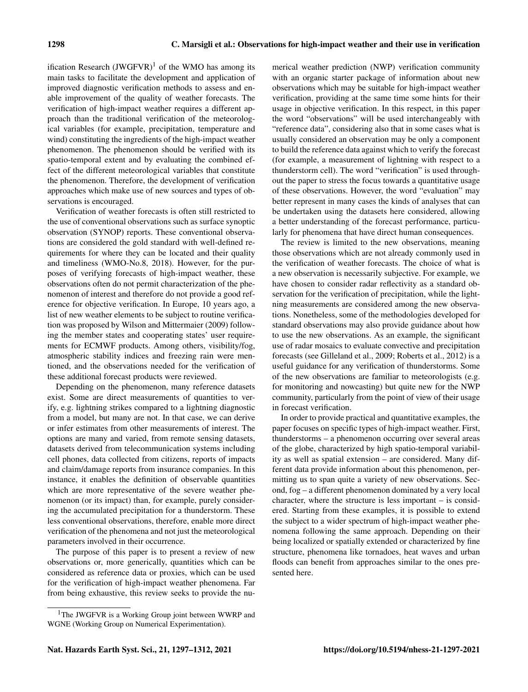ification Research  $(JWGFVR)^1$  $(JWGFVR)^1$  of the WMO has among its main tasks to facilitate the development and application of improved diagnostic verification methods to assess and enable improvement of the quality of weather forecasts. The verification of high-impact weather requires a different approach than the traditional verification of the meteorological variables (for example, precipitation, temperature and wind) constituting the ingredients of the high-impact weather phenomenon. The phenomenon should be verified with its spatio-temporal extent and by evaluating the combined effect of the different meteorological variables that constitute the phenomenon. Therefore, the development of verification approaches which make use of new sources and types of observations is encouraged.

Verification of weather forecasts is often still restricted to the use of conventional observations such as surface synoptic observation (SYNOP) reports. These conventional observations are considered the gold standard with well-defined requirements for where they can be located and their quality and timeliness (WMO-No.8, 2018). However, for the purposes of verifying forecasts of high-impact weather, these observations often do not permit characterization of the phenomenon of interest and therefore do not provide a good reference for objective verification. In Europe, 10 years ago, a list of new weather elements to be subject to routine verification was proposed by Wilson and Mittermaier (2009) following the member states and cooperating states' user requirements for ECMWF products. Among others, visibility/fog, atmospheric stability indices and freezing rain were mentioned, and the observations needed for the verification of these additional forecast products were reviewed.

Depending on the phenomenon, many reference datasets exist. Some are direct measurements of quantities to verify, e.g. lightning strikes compared to a lightning diagnostic from a model, but many are not. In that case, we can derive or infer estimates from other measurements of interest. The options are many and varied, from remote sensing datasets, datasets derived from telecommunication systems including cell phones, data collected from citizens, reports of impacts and claim/damage reports from insurance companies. In this instance, it enables the definition of observable quantities which are more representative of the severe weather phenomenon (or its impact) than, for example, purely considering the accumulated precipitation for a thunderstorm. These less conventional observations, therefore, enable more direct verification of the phenomena and not just the meteorological parameters involved in their occurrence.

The purpose of this paper is to present a review of new observations or, more generically, quantities which can be considered as reference data or proxies, which can be used for the verification of high-impact weather phenomena. Far from being exhaustive, this review seeks to provide the numerical weather prediction (NWP) verification community with an organic starter package of information about new observations which may be suitable for high-impact weather verification, providing at the same time some hints for their usage in objective verification. In this respect, in this paper the word "observations" will be used interchangeably with "reference data", considering also that in some cases what is usually considered an observation may be only a component to build the reference data against which to verify the forecast (for example, a measurement of lightning with respect to a thunderstorm cell). The word "verification" is used throughout the paper to stress the focus towards a quantitative usage of these observations. However, the word "evaluation" may better represent in many cases the kinds of analyses that can be undertaken using the datasets here considered, allowing a better understanding of the forecast performance, particularly for phenomena that have direct human consequences.

The review is limited to the new observations, meaning those observations which are not already commonly used in the verification of weather forecasts. The choice of what is a new observation is necessarily subjective. For example, we have chosen to consider radar reflectivity as a standard observation for the verification of precipitation, while the lightning measurements are considered among the new observations. Nonetheless, some of the methodologies developed for standard observations may also provide guidance about how to use the new observations. As an example, the significant use of radar mosaics to evaluate convective and precipitation forecasts (see Gilleland et al., 2009; Roberts et al., 2012) is a useful guidance for any verification of thunderstorms. Some of the new observations are familiar to meteorologists (e.g. for monitoring and nowcasting) but quite new for the NWP community, particularly from the point of view of their usage in forecast verification.

In order to provide practical and quantitative examples, the paper focuses on specific types of high-impact weather. First, thunderstorms – a phenomenon occurring over several areas of the globe, characterized by high spatio-temporal variability as well as spatial extension – are considered. Many different data provide information about this phenomenon, permitting us to span quite a variety of new observations. Second, fog – a different phenomenon dominated by a very local character, where the structure is less important – is considered. Starting from these examples, it is possible to extend the subject to a wider spectrum of high-impact weather phenomena following the same approach. Depending on their being localized or spatially extended or characterized by fine structure, phenomena like tornadoes, heat waves and urban floods can benefit from approaches similar to the ones presented here.

<span id="page-1-0"></span><sup>&</sup>lt;sup>1</sup>The JWGFVR is a Working Group joint between WWRP and WGNE (Working Group on Numerical Experimentation).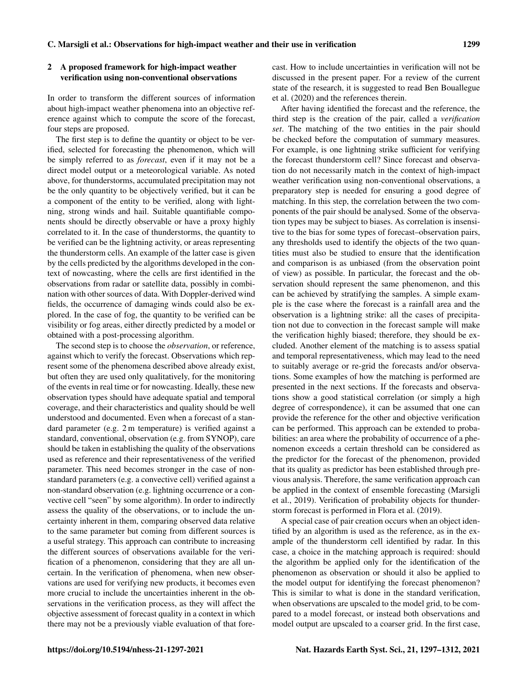# 2 A proposed framework for high-impact weather verification using non-conventional observations

In order to transform the different sources of information about high-impact weather phenomena into an objective reference against which to compute the score of the forecast, four steps are proposed.

The first step is to define the quantity or object to be verified, selected for forecasting the phenomenon, which will be simply referred to as *forecast*, even if it may not be a direct model output or a meteorological variable. As noted above, for thunderstorms, accumulated precipitation may not be the only quantity to be objectively verified, but it can be a component of the entity to be verified, along with lightning, strong winds and hail. Suitable quantifiable components should be directly observable or have a proxy highly correlated to it. In the case of thunderstorms, the quantity to be verified can be the lightning activity, or areas representing the thunderstorm cells. An example of the latter case is given by the cells predicted by the algorithms developed in the context of nowcasting, where the cells are first identified in the observations from radar or satellite data, possibly in combination with other sources of data. With Doppler-derived wind fields, the occurrence of damaging winds could also be explored. In the case of fog, the quantity to be verified can be visibility or fog areas, either directly predicted by a model or obtained with a post-processing algorithm.

The second step is to choose the *observation*, or reference, against which to verify the forecast. Observations which represent some of the phenomena described above already exist, but often they are used only qualitatively, for the monitoring of the events in real time or for nowcasting. Ideally, these new observation types should have adequate spatial and temporal coverage, and their characteristics and quality should be well understood and documented. Even when a forecast of a standard parameter (e.g. 2 m temperature) is verified against a standard, conventional, observation (e.g. from SYNOP), care should be taken in establishing the quality of the observations used as reference and their representativeness of the verified parameter. This need becomes stronger in the case of nonstandard parameters (e.g. a convective cell) verified against a non-standard observation (e.g. lightning occurrence or a convective cell "seen" by some algorithm). In order to indirectly assess the quality of the observations, or to include the uncertainty inherent in them, comparing observed data relative to the same parameter but coming from different sources is a useful strategy. This approach can contribute to increasing the different sources of observations available for the verification of a phenomenon, considering that they are all uncertain. In the verification of phenomena, when new observations are used for verifying new products, it becomes even more crucial to include the uncertainties inherent in the observations in the verification process, as they will affect the objective assessment of forecast quality in a context in which there may not be a previously viable evaluation of that forecast. How to include uncertainties in verification will not be discussed in the present paper. For a review of the current state of the research, it is suggested to read Ben Bouallegue et al. (2020) and the references therein.

After having identified the forecast and the reference, the third step is the creation of the pair, called a *verification set*. The matching of the two entities in the pair should be checked before the computation of summary measures. For example, is one lightning strike sufficient for verifying the forecast thunderstorm cell? Since forecast and observation do not necessarily match in the context of high-impact weather verification using non-conventional observations, a preparatory step is needed for ensuring a good degree of matching. In this step, the correlation between the two components of the pair should be analysed. Some of the observation types may be subject to biases. As correlation is insensitive to the bias for some types of forecast–observation pairs, any thresholds used to identify the objects of the two quantities must also be studied to ensure that the identification and comparison is as unbiased (from the observation point of view) as possible. In particular, the forecast and the observation should represent the same phenomenon, and this can be achieved by stratifying the samples. A simple example is the case where the forecast is a rainfall area and the observation is a lightning strike: all the cases of precipitation not due to convection in the forecast sample will make the verification highly biased; therefore, they should be excluded. Another element of the matching is to assess spatial and temporal representativeness, which may lead to the need to suitably average or re-grid the forecasts and/or observations. Some examples of how the matching is performed are presented in the next sections. If the forecasts and observations show a good statistical correlation (or simply a high degree of correspondence), it can be assumed that one can provide the reference for the other and objective verification can be performed. This approach can be extended to probabilities: an area where the probability of occurrence of a phenomenon exceeds a certain threshold can be considered as the predictor for the forecast of the phenomenon, provided that its quality as predictor has been established through previous analysis. Therefore, the same verification approach can be applied in the context of ensemble forecasting (Marsigli et al., 2019). Verification of probability objects for thunderstorm forecast is performed in Flora et al. (2019).

A special case of pair creation occurs when an object identified by an algorithm is used as the reference, as in the example of the thunderstorm cell identified by radar. In this case, a choice in the matching approach is required: should the algorithm be applied only for the identification of the phenomenon as observation or should it also be applied to the model output for identifying the forecast phenomenon? This is similar to what is done in the standard verification, when observations are upscaled to the model grid, to be compared to a model forecast, or instead both observations and model output are upscaled to a coarser grid. In the first case,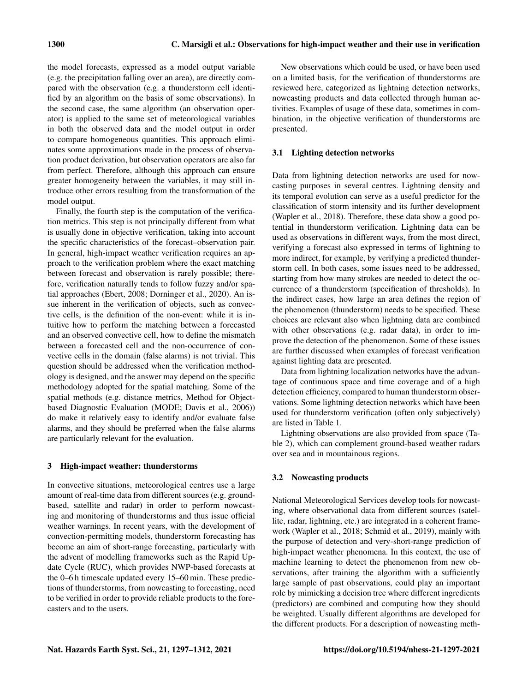the model forecasts, expressed as a model output variable (e.g. the precipitation falling over an area), are directly compared with the observation (e.g. a thunderstorm cell identified by an algorithm on the basis of some observations). In the second case, the same algorithm (an observation operator) is applied to the same set of meteorological variables in both the observed data and the model output in order to compare homogeneous quantities. This approach eliminates some approximations made in the process of observation product derivation, but observation operators are also far from perfect. Therefore, although this approach can ensure greater homogeneity between the variables, it may still introduce other errors resulting from the transformation of the model output.

Finally, the fourth step is the computation of the verification metrics. This step is not principally different from what is usually done in objective verification, taking into account the specific characteristics of the forecast–observation pair. In general, high-impact weather verification requires an approach to the verification problem where the exact matching between forecast and observation is rarely possible; therefore, verification naturally tends to follow fuzzy and/or spatial approaches (Ebert, 2008; Dorninger et al., 2020). An issue inherent in the verification of objects, such as convective cells, is the definition of the non-event: while it is intuitive how to perform the matching between a forecasted and an observed convective cell, how to define the mismatch between a forecasted cell and the non-occurrence of convective cells in the domain (false alarms) is not trivial. This question should be addressed when the verification methodology is designed, and the answer may depend on the specific methodology adopted for the spatial matching. Some of the spatial methods (e.g. distance metrics, Method for Objectbased Diagnostic Evaluation (MODE; Davis et al., 2006)) do make it relatively easy to identify and/or evaluate false alarms, and they should be preferred when the false alarms are particularly relevant for the evaluation.

# 3 High-impact weather: thunderstorms

In convective situations, meteorological centres use a large amount of real-time data from different sources (e.g. groundbased, satellite and radar) in order to perform nowcasting and monitoring of thunderstorms and thus issue official weather warnings. In recent years, with the development of convection-permitting models, thunderstorm forecasting has become an aim of short-range forecasting, particularly with the advent of modelling frameworks such as the Rapid Update Cycle (RUC), which provides NWP-based forecasts at the 0–6 h timescale updated every 15–60 min. These predictions of thunderstorms, from nowcasting to forecasting, need to be verified in order to provide reliable products to the forecasters and to the users.

New observations which could be used, or have been used on a limited basis, for the verification of thunderstorms are reviewed here, categorized as lightning detection networks, nowcasting products and data collected through human activities. Examples of usage of these data, sometimes in combination, in the objective verification of thunderstorms are presented.

# 3.1 Lighting detection networks

Data from lightning detection networks are used for nowcasting purposes in several centres. Lightning density and its temporal evolution can serve as a useful predictor for the classification of storm intensity and its further development (Wapler et al., 2018). Therefore, these data show a good potential in thunderstorm verification. Lightning data can be used as observations in different ways, from the most direct, verifying a forecast also expressed in terms of lightning to more indirect, for example, by verifying a predicted thunderstorm cell. In both cases, some issues need to be addressed, starting from how many strokes are needed to detect the occurrence of a thunderstorm (specification of thresholds). In the indirect cases, how large an area defines the region of the phenomenon (thunderstorm) needs to be specified. These choices are relevant also when lightning data are combined with other observations (e.g. radar data), in order to improve the detection of the phenomenon. Some of these issues are further discussed when examples of forecast verification against lighting data are presented.

Data from lightning localization networks have the advantage of continuous space and time coverage and of a high detection efficiency, compared to human thunderstorm observations. Some lightning detection networks which have been used for thunderstorm verification (often only subjectively) are listed in Table 1.

Lightning observations are also provided from space (Table 2), which can complement ground-based weather radars over sea and in mountainous regions.

# 3.2 Nowcasting products

National Meteorological Services develop tools for nowcasting, where observational data from different sources (satellite, radar, lightning, etc.) are integrated in a coherent framework (Wapler et al., 2018; Schmid et al., 2019), mainly with the purpose of detection and very-short-range prediction of high-impact weather phenomena. In this context, the use of machine learning to detect the phenomenon from new observations, after training the algorithm with a sufficiently large sample of past observations, could play an important role by mimicking a decision tree where different ingredients (predictors) are combined and computing how they should be weighted. Usually different algorithms are developed for the different products. For a description of nowcasting meth-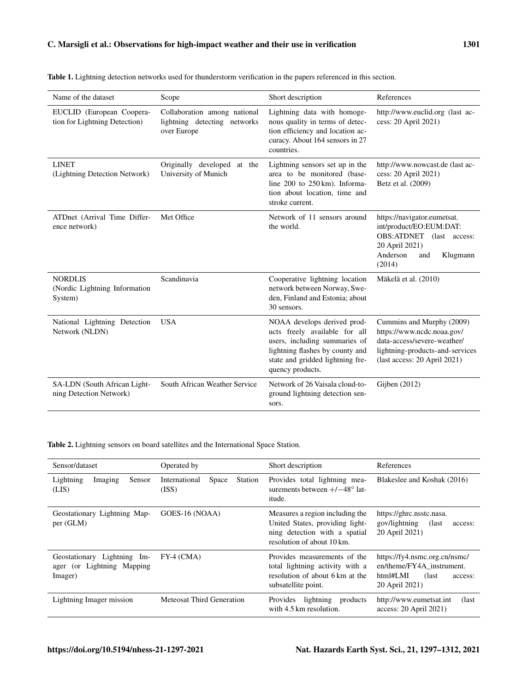| Name of the dataset                                        | Scope                                                                       | Short description                                                                                                                                                                        | References                                                                                                                                                |
|------------------------------------------------------------|-----------------------------------------------------------------------------|------------------------------------------------------------------------------------------------------------------------------------------------------------------------------------------|-----------------------------------------------------------------------------------------------------------------------------------------------------------|
| EUCLID (European Coopera-<br>tion for Lightning Detection) | Collaboration among national<br>lightning detecting networks<br>over Europe | Lightning data with homoge-<br>nous quality in terms of detec-<br>tion efficiency and location ac-<br>curacy. About 164 sensors in 27<br>countries.                                      | http://www.euclid.org (last ac-<br>cess: 20 April 2021)                                                                                                   |
| <b>LINET</b><br>(Lightning Detection Network)              | Originally developed<br>at the<br>University of Munich                      | Lightning sensors set up in the<br>area to be monitored (base-<br>line 200 to 250 km). Informa-<br>tion about location, time and<br>stroke current.                                      | http://www.nowcast.de (last ac-<br>cess: 20 April 2021)<br>Betz et al. (2009)                                                                             |
| ATDnet (Arrival Time Differ-<br>ence network)              | Met Office                                                                  | Network of 11 sensors around<br>the world.                                                                                                                                               | https://navigator.eumetsat.<br>int/product/EO:EUM:DAT:<br>OBS:ATDNET (last access:<br>20 April 2021)<br>Anderson<br>Klugmann<br>and<br>(2014)             |
| <b>NORDLIS</b><br>(Nordic Lightning Information<br>System) | Scandinavia                                                                 | Cooperative lightning location<br>network between Norway, Swe-<br>den, Finland and Estonia; about<br>30 sensors.                                                                         | Mäkelä et al. (2010)                                                                                                                                      |
| National Lightning Detection<br>Network (NLDN)             | <b>USA</b>                                                                  | NOAA develops derived prod-<br>ucts freely available for all<br>users, including summaries of<br>lightning flashes by county and<br>state and gridded lightning fre-<br>quency products. | Cummins and Murphy (2009)<br>https://www.ncdc.noaa.gov/<br>data-access/severe-weather/<br>lightning-products-and-services<br>(last access: 20 April 2021) |
| SA-LDN (South African Light-<br>ning Detection Network)    | South African Weather Service                                               | Network of 26 Vaisala cloud-to-<br>ground lightning detection sen-<br>sors.                                                                                                              | Gijben $(2012)$                                                                                                                                           |

Table 1. Lightning detection networks used for thunderstorm verification in the papers referenced in this section.

Table 2. Lightning sensors on board satellites and the International Space Station.

| Sensor/dataset                                                        | Operated by                                       | Short description                                                                                                                 | References                                                                                                    |
|-----------------------------------------------------------------------|---------------------------------------------------|-----------------------------------------------------------------------------------------------------------------------------------|---------------------------------------------------------------------------------------------------------------|
| Lightning<br>Imaging<br>Sensor<br>(LIS)                               | Space<br>International<br><b>Station</b><br>(ISS) | Provides total lightning mea-<br>surements between $+/-48^{\circ}$ lat-<br><i>itude.</i>                                          | Blakeslee and Koshak (2016)                                                                                   |
| Geostationary Lightning Map-<br>per (GLM)                             | GOES-16 (NOAA)                                    | Measures a region including the<br>United States, providing light-<br>ning detection with a spatial<br>resolution of about 10 km. | https://ghrc.nsstc.nasa.<br>gov/lightning<br>(last)<br>access:<br>20 April 2021)                              |
| Geostationary Lightning Im-<br>ager (or Lightning Mapping)<br>Imager) | $FY-4$ (CMA)                                      | Provides measurements of the<br>total lightning activity with a<br>resolution of about 6 km at the<br>subsatellite point.         | https://fy4.nsmc.org.cn/nsmc/<br>en/theme/FY4A_instrument.<br>html#LMI<br>(last)<br>access:<br>20 April 2021) |
| Lightning Imager mission                                              | Meteosat Third Generation                         | lightning<br>Provides<br>products<br>with 4.5 km resolution.                                                                      | http://www.eumetsat.int<br>(last)<br>$access: 20$ April 2021)                                                 |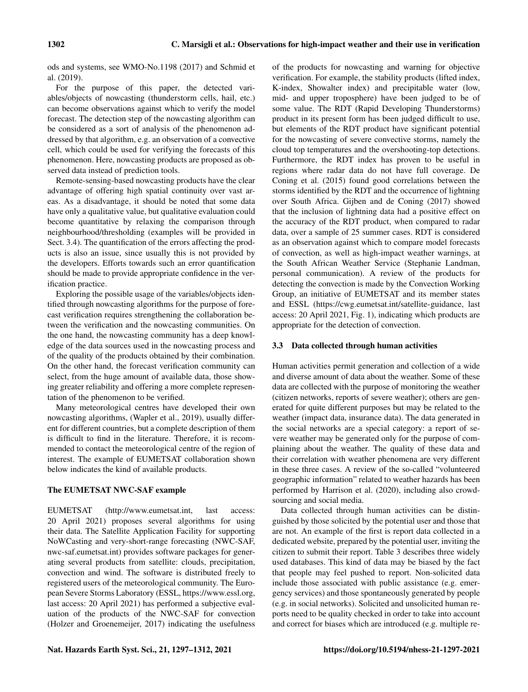ods and systems, see WMO-No.1198 (2017) and Schmid et al. (2019).

For the purpose of this paper, the detected variables/objects of nowcasting (thunderstorm cells, hail, etc.) can become observations against which to verify the model forecast. The detection step of the nowcasting algorithm can be considered as a sort of analysis of the phenomenon addressed by that algorithm, e.g. an observation of a convective cell, which could be used for verifying the forecasts of this phenomenon. Here, nowcasting products are proposed as observed data instead of prediction tools.

Remote-sensing-based nowcasting products have the clear advantage of offering high spatial continuity over vast areas. As a disadvantage, it should be noted that some data have only a qualitative value, but qualitative evaluation could become quantitative by relaxing the comparison through neighbourhood/thresholding (examples will be provided in Sect. 3.4). The quantification of the errors affecting the products is also an issue, since usually this is not provided by the developers. Efforts towards such an error quantification should be made to provide appropriate confidence in the verification practice.

Exploring the possible usage of the variables/objects identified through nowcasting algorithms for the purpose of forecast verification requires strengthening the collaboration between the verification and the nowcasting communities. On the one hand, the nowcasting community has a deep knowledge of the data sources used in the nowcasting process and of the quality of the products obtained by their combination. On the other hand, the forecast verification community can select, from the huge amount of available data, those showing greater reliability and offering a more complete representation of the phenomenon to be verified.

Many meteorological centres have developed their own nowcasting algorithms, (Wapler et al., 2019), usually different for different countries, but a complete description of them is difficult to find in the literature. Therefore, it is recommended to contact the meteorological centre of the region of interest. The example of EUMETSAT collaboration shown below indicates the kind of available products.

# The EUMETSAT NWC-SAF example

EUMETSAT [\(http://www.eumetsat.int,](http://www.eumetsat.int) last access: 20 April 2021) proposes several algorithms for using their data. The Satellite Application Facility for supporting NoWCasting and very-short-range forecasting (NWC-SAF, nwc-saf.eumetsat.int) provides software packages for generating several products from satellite: clouds, precipitation, convection and wind. The software is distributed freely to registered users of the meteorological community. The European Severe Storms Laboratory (ESSL, [https://www.essl.org,](https://www.essl.org) last access: 20 April 2021) has performed a subjective evaluation of the products of the NWC-SAF for convection (Holzer and Groenemeijer, 2017) indicating the usefulness of the products for nowcasting and warning for objective verification. For example, the stability products (lifted index, K-index, Showalter index) and precipitable water (low, mid- and upper troposphere) have been judged to be of some value. The RDT (Rapid Developing Thunderstorms) product in its present form has been judged difficult to use, but elements of the RDT product have significant potential for the nowcasting of severe convective storms, namely the cloud top temperatures and the overshooting-top detections. Furthermore, the RDT index has proven to be useful in regions where radar data do not have full coverage. De Coning et al. (2015) found good correlations between the storms identified by the RDT and the occurrence of lightning over South Africa. Gijben and de Coning (2017) showed that the inclusion of lightning data had a positive effect on the accuracy of the RDT product, when compared to radar data, over a sample of 25 summer cases. RDT is considered as an observation against which to compare model forecasts of convection, as well as high-impact weather warnings, at the South African Weather Service (Stephanie Landman, personal communication). A review of the products for detecting the convection is made by the Convection Working Group, an initiative of EUMETSAT and its member states and ESSL [\(https://cwg.eumetsat.int/satellite-guidance,](https://cwg.eumetsat.int/satellite-guidance) last access: 20 April 2021, Fig. 1), indicating which products are appropriate for the detection of convection.

## 3.3 Data collected through human activities

Human activities permit generation and collection of a wide and diverse amount of data about the weather. Some of these data are collected with the purpose of monitoring the weather (citizen networks, reports of severe weather); others are generated for quite different purposes but may be related to the weather (impact data, insurance data). The data generated in the social networks are a special category: a report of severe weather may be generated only for the purpose of complaining about the weather. The quality of these data and their correlation with weather phenomena are very different in these three cases. A review of the so-called "volunteered geographic information" related to weather hazards has been performed by Harrison et al. (2020), including also crowdsourcing and social media.

Data collected through human activities can be distinguished by those solicited by the potential user and those that are not. An example of the first is report data collected in a dedicated website, prepared by the potential user, inviting the citizen to submit their report. Table 3 describes three widely used databases. This kind of data may be biased by the fact that people may feel pushed to report. Non-solicited data include those associated with public assistance (e.g. emergency services) and those spontaneously generated by people (e.g. in social networks). Solicited and unsolicited human reports need to be quality checked in order to take into account and correct for biases which are introduced (e.g. multiple re-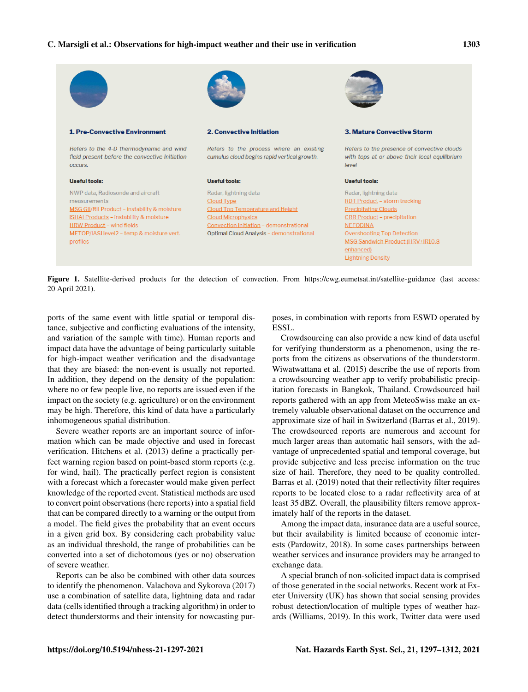

Figure 1. Satellite-derived products for the detection of convection. From <https://cwg.eumetsat.int/satellite-guidance> (last access: 20 April 2021).

ports of the same event with little spatial or temporal distance, subjective and conflicting evaluations of the intensity, and variation of the sample with time). Human reports and impact data have the advantage of being particularly suitable for high-impact weather verification and the disadvantage that they are biased: the non-event is usually not reported. In addition, they depend on the density of the population: where no or few people live, no reports are issued even if the impact on the society (e.g. agriculture) or on the environment may be high. Therefore, this kind of data have a particularly inhomogeneous spatial distribution.

Severe weather reports are an important source of information which can be made objective and used in forecast verification. Hitchens et al. (2013) define a practically perfect warning region based on point-based storm reports (e.g. for wind, hail). The practically perfect region is consistent with a forecast which a forecaster would make given perfect knowledge of the reported event. Statistical methods are used to convert point observations (here reports) into a spatial field that can be compared directly to a warning or the output from a model. The field gives the probability that an event occurs in a given grid box. By considering each probability value as an individual threshold, the range of probabilities can be converted into a set of dichotomous (yes or no) observation of severe weather.

Reports can be also be combined with other data sources to identify the phenomenon. Valachova and Sykorova (2017) use a combination of satellite data, lightning data and radar data (cells identified through a tracking algorithm) in order to detect thunderstorms and their intensity for nowcasting purposes, in combination with reports from ESWD operated by ESSL.

Crowdsourcing can also provide a new kind of data useful for verifying thunderstorm as a phenomenon, using the reports from the citizens as observations of the thunderstorm. Wiwatwattana et al. (2015) describe the use of reports from a crowdsourcing weather app to verify probabilistic precipitation forecasts in Bangkok, Thailand. Crowdsourced hail reports gathered with an app from MeteoSwiss make an extremely valuable observational dataset on the occurrence and approximate size of hail in Switzerland (Barras et al., 2019). The crowdsourced reports are numerous and account for much larger areas than automatic hail sensors, with the advantage of unprecedented spatial and temporal coverage, but provide subjective and less precise information on the true size of hail. Therefore, they need to be quality controlled. Barras et al. (2019) noted that their reflectivity filter requires reports to be located close to a radar reflectivity area of at least 35 dBZ. Overall, the plausibility filters remove approximately half of the reports in the dataset.

Among the impact data, insurance data are a useful source, but their availability is limited because of economic interests (Pardowitz, 2018). In some cases partnerships between weather services and insurance providers may be arranged to exchange data.

A special branch of non-solicited impact data is comprised of those generated in the social networks. Recent work at Exeter University (UK) has shown that social sensing provides robust detection/location of multiple types of weather hazards (Williams, 2019). In this work, Twitter data were used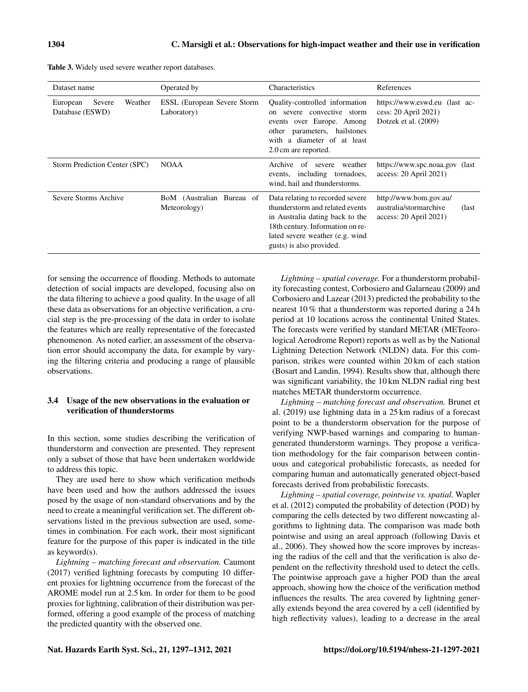|  |  |  |  |  |  |  | <b>Table 3.</b> Widely used severe weather report databases. |  |
|--|--|--|--|--|--|--|--------------------------------------------------------------|--|
|--|--|--|--|--|--|--|--------------------------------------------------------------|--|

| Dataset name                                     | Operated by                                | <b>Characteristics</b>                                                                                                                                                                                     | References                                                                             |
|--------------------------------------------------|--------------------------------------------|------------------------------------------------------------------------------------------------------------------------------------------------------------------------------------------------------------|----------------------------------------------------------------------------------------|
| Weather<br>Severe<br>European<br>Database (ESWD) | ESSL (European Severe Storm<br>Laboratory) | Quality-controlled information<br>on severe convective storm<br>events over Europe. Among<br>parameters, hailstones<br>other<br>with a diameter of at least<br>2.0 cm are reported.                        | https://www.eswd.eu (last ac-<br>cess: 20 April 2021)<br>Dotzek et al. (2009)          |
| Storm Prediction Center (SPC)                    | <b>NOAA</b>                                | Archive<br>of<br>weather<br>severe<br>events, including tornadoes,<br>wind, hail and thunderstorms.                                                                                                        | https://www.spc.noaa.gov (last<br>access: 20 April 2021)                               |
| Severe Storms Archive                            | BoM (Australian Bureau of<br>Meteorology)  | Data relating to recorded severe.<br>thunderstorm and related events<br>in Australia dating back to the<br>18th century. Information on re-<br>lated severe weather (e.g. wind<br>gusts) is also provided. | http://www.bom.gov.au/<br>australia/stormarchive<br>(last)<br>$access: 20$ April 2021) |

for sensing the occurrence of flooding. Methods to automate detection of social impacts are developed, focusing also on the data filtering to achieve a good quality. In the usage of all these data as observations for an objective verification, a crucial step is the pre-processing of the data in order to isolate the features which are really representative of the forecasted phenomenon. As noted earlier, an assessment of the observation error should accompany the data, for example by varying the filtering criteria and producing a range of plausible observations.

# 3.4 Usage of the new observations in the evaluation or verification of thunderstorms

In this section, some studies describing the verification of thunderstorm and convection are presented. They represent only a subset of those that have been undertaken worldwide to address this topic.

They are used here to show which verification methods have been used and how the authors addressed the issues posed by the usage of non-standard observations and by the need to create a meaningful verification set. The different observations listed in the previous subsection are used, sometimes in combination. For each work, their most significant feature for the purpose of this paper is indicated in the title as keyword(s).

*Lightning – matching forecast and observation.* Caumont (2017) verified lightning forecasts by computing 10 different proxies for lightning occurrence from the forecast of the AROME model run at 2.5 km. In order for them to be good proxies for lightning, calibration of their distribution was performed, offering a good example of the process of matching the predicted quantity with the observed one.

*Lightning – spatial coverage.* For a thunderstorm probability forecasting contest, Corbosiero and Galarneau (2009) and Corbosiero and Lazear (2013) predicted the probability to the nearest 10 % that a thunderstorm was reported during a 24 h period at 10 locations across the continental United States. The forecasts were verified by standard METAR (METeorological Aerodrome Report) reports as well as by the National Lightning Detection Network (NLDN) data. For this comparison, strikes were counted within 20 km of each station (Bosart and Landin, 1994). Results show that, although there was significant variability, the 10 km NLDN radial ring best matches METAR thunderstorm occurrence.

*Lightning – matching forecast and observation.* Brunet et al. (2019) use lightning data in a 25 km radius of a forecast point to be a thunderstorm observation for the purpose of verifying NWP-based warnings and comparing to humangenerated thunderstorm warnings. They propose a verification methodology for the fair comparison between continuous and categorical probabilistic forecasts, as needed for comparing human and automatically generated object-based forecasts derived from probabilistic forecasts.

*Lightning – spatial coverage, pointwise vs. spatial.* Wapler et al. (2012) computed the probability of detection (POD) by comparing the cells detected by two different nowcasting algorithms to lightning data. The comparison was made both pointwise and using an areal approach (following Davis et al., 2006). They showed how the score improves by increasing the radius of the cell and that the verification is also dependent on the reflectivity threshold used to detect the cells. The pointwise approach gave a higher POD than the areal approach, showing how the choice of the verification method influences the results. The area covered by lightning generally extends beyond the area covered by a cell (identified by high reflectivity values), leading to a decrease in the areal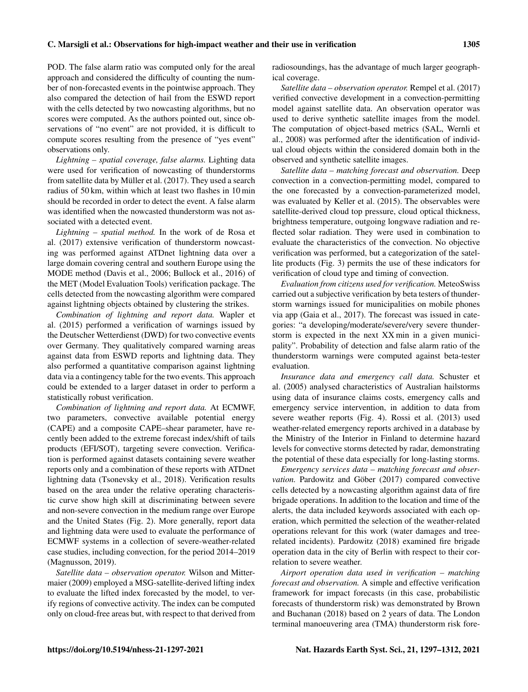POD. The false alarm ratio was computed only for the areal approach and considered the difficulty of counting the number of non-forecasted events in the pointwise approach. They also compared the detection of hail from the ESWD report with the cells detected by two nowcasting algorithms, but no scores were computed. As the authors pointed out, since observations of "no event" are not provided, it is difficult to compute scores resulting from the presence of "yes event" observations only.

*Lightning – spatial coverage, false alarms.* Lighting data were used for verification of nowcasting of thunderstorms from satellite data by Müller et al. (2017). They used a search radius of 50 km, within which at least two flashes in 10 min should be recorded in order to detect the event. A false alarm was identified when the nowcasted thunderstorm was not associated with a detected event.

*Lightning – spatial method.* In the work of de Rosa et al. (2017) extensive verification of thunderstorm nowcasting was performed against ATDnet lightning data over a large domain covering central and southern Europe using the MODE method (Davis et al., 2006; Bullock et al., 2016) of the MET (Model Evaluation Tools) verification package. The cells detected from the nowcasting algorithm were compared against lightning objects obtained by clustering the strikes.

*Combination of lightning and report data.* Wapler et al. (2015) performed a verification of warnings issued by the Deutscher Wetterdienst (DWD) for two convective events over Germany. They qualitatively compared warning areas against data from ESWD reports and lightning data. They also performed a quantitative comparison against lightning data via a contingency table for the two events. This approach could be extended to a larger dataset in order to perform a statistically robust verification.

*Combination of lightning and report data.* At ECMWF, two parameters, convective available potential energy (CAPE) and a composite CAPE–shear parameter, have recently been added to the extreme forecast index/shift of tails products (EFI/SOT), targeting severe convection. Verification is performed against datasets containing severe weather reports only and a combination of these reports with ATDnet lightning data (Tsonevsky et al., 2018). Verification results based on the area under the relative operating characteristic curve show high skill at discriminating between severe and non-severe convection in the medium range over Europe and the United States (Fig. 2). More generally, report data and lightning data were used to evaluate the performance of ECMWF systems in a collection of severe-weather-related case studies, including convection, for the period 2014–2019 (Magnusson, 2019).

*Satellite data – observation operator.* Wilson and Mittermaier (2009) employed a MSG-satellite-derived lifting index to evaluate the lifted index forecasted by the model, to verify regions of convective activity. The index can be computed only on cloud-free areas but, with respect to that derived from radiosoundings, has the advantage of much larger geographical coverage.

*Satellite data – observation operator.* Rempel et al. (2017) verified convective development in a convection-permitting model against satellite data. An observation operator was used to derive synthetic satellite images from the model. The computation of object-based metrics (SAL, Wernli et al., 2008) was performed after the identification of individual cloud objects within the considered domain both in the observed and synthetic satellite images.

*Satellite data – matching forecast and observation.* Deep convection in a convection-permitting model, compared to the one forecasted by a convection-parameterized model, was evaluated by Keller et al. (2015). The observables were satellite-derived cloud top pressure, cloud optical thickness, brightness temperature, outgoing longwave radiation and reflected solar radiation. They were used in combination to evaluate the characteristics of the convection. No objective verification was performed, but a categorization of the satellite products (Fig. 3) permits the use of these indicators for verification of cloud type and timing of convection.

*Evaluation from citizens used for verification.* MeteoSwiss carried out a subjective verification by beta testers of thunderstorm warnings issued for municipalities on mobile phones via app (Gaia et al., 2017). The forecast was issued in categories: "a developing/moderate/severe/very severe thunderstorm is expected in the next XX min in a given municipality". Probability of detection and false alarm ratio of the thunderstorm warnings were computed against beta-tester evaluation.

*Insurance data and emergency call data.* Schuster et al. (2005) analysed characteristics of Australian hailstorms using data of insurance claims costs, emergency calls and emergency service intervention, in addition to data from severe weather reports (Fig. 4). Rossi et al. (2013) used weather-related emergency reports archived in a database by the Ministry of the Interior in Finland to determine hazard levels for convective storms detected by radar, demonstrating the potential of these data especially for long-lasting storms.

*Emergency services data – matching forecast and observation.* Pardowitz and Göber (2017) compared convective cells detected by a nowcasting algorithm against data of fire brigade operations. In addition to the location and time of the alerts, the data included keywords associated with each operation, which permitted the selection of the weather-related operations relevant for this work (water damages and treerelated incidents). Pardowitz (2018) examined fire brigade operation data in the city of Berlin with respect to their correlation to severe weather.

*Airport operation data used in verification – matching forecast and observation.* A simple and effective verification framework for impact forecasts (in this case, probabilistic forecasts of thunderstorm risk) was demonstrated by Brown and Buchanan (2018) based on 2 years of data. The London terminal manoeuvering area (TMA) thunderstorm risk fore-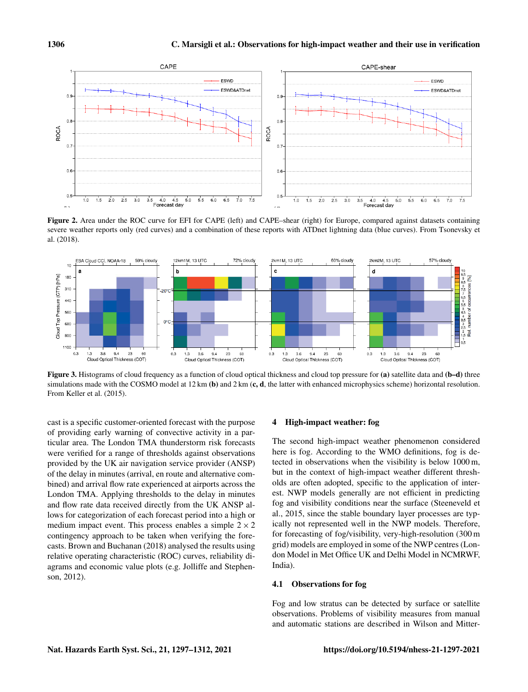

Figure 2. Area under the ROC curve for EFI for CAPE (left) and CAPE–shear (right) for Europe, compared against datasets containing severe weather reports only (red curves) and a combination of these reports with ATDnet lightning data (blue curves). From Tsonevsky et al. (2018).



Figure 3. Histograms of cloud frequency as a function of cloud optical thickness and cloud top pressure for (a) satellite data and (b–d) three simulations made with the COSMO model at  $12 \text{ km (b)}$  and  $2 \text{ km (c, d, the latter with enhanced microphysics scheme)}$  horizontal resolution. From Keller et al. (2015).

cast is a specific customer-oriented forecast with the purpose of providing early warning of convective activity in a particular area. The London TMA thunderstorm risk forecasts were verified for a range of thresholds against observations provided by the UK air navigation service provider (ANSP) of the delay in minutes (arrival, en route and alternative combined) and arrival flow rate experienced at airports across the London TMA. Applying thresholds to the delay in minutes and flow rate data received directly from the UK ANSP allows for categorization of each forecast period into a high or medium impact event. This process enables a simple  $2 \times 2$ contingency approach to be taken when verifying the forecasts. Brown and Buchanan (2018) analysed the results using relative operating characteristic (ROC) curves, reliability diagrams and economic value plots (e.g. Jolliffe and Stephenson, 2012).

## 4 High-impact weather: fog

The second high-impact weather phenomenon considered here is fog. According to the WMO definitions, fog is detected in observations when the visibility is below 1000 m, but in the context of high-impact weather different thresholds are often adopted, specific to the application of interest. NWP models generally are not efficient in predicting fog and visibility conditions near the surface (Steeneveld et al., 2015, since the stable boundary layer processes are typically not represented well in the NWP models. Therefore, for forecasting of fog/visibility, very-high-resolution (300 m grid) models are employed in some of the NWP centres (London Model in Met Office UK and Delhi Model in NCMRWF, India).

#### 4.1 Observations for fog

Fog and low stratus can be detected by surface or satellite observations. Problems of visibility measures from manual and automatic stations are described in Wilson and Mitter-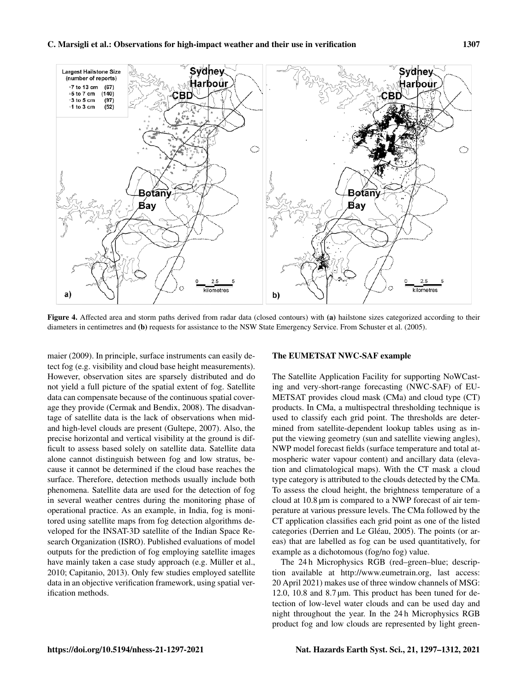

Figure 4. Affected area and storm paths derived from radar data (closed contours) with (a) hailstone sizes categorized according to their diameters in centimetres and (b) requests for assistance to the NSW State Emergency Service. From Schuster et al. (2005).

maier (2009). In principle, surface instruments can easily detect fog (e.g. visibility and cloud base height measurements). However, observation sites are sparsely distributed and do not yield a full picture of the spatial extent of fog. Satellite data can compensate because of the continuous spatial coverage they provide (Cermak and Bendix, 2008). The disadvantage of satellite data is the lack of observations when midand high-level clouds are present (Gultepe, 2007). Also, the precise horizontal and vertical visibility at the ground is difficult to assess based solely on satellite data. Satellite data alone cannot distinguish between fog and low stratus, because it cannot be determined if the cloud base reaches the surface. Therefore, detection methods usually include both phenomena. Satellite data are used for the detection of fog in several weather centres during the monitoring phase of operational practice. As an example, in India, fog is monitored using satellite maps from fog detection algorithms developed for the INSAT-3D satellite of the Indian Space Research Organization (ISRO). Published evaluations of model outputs for the prediction of fog employing satellite images have mainly taken a case study approach (e.g. Müller et al., 2010; Capitanio, 2013). Only few studies employed satellite data in an objective verification framework, using spatial verification methods.

## The EUMETSAT NWC-SAF example

The Satellite Application Facility for supporting NoWCasting and very-short-range forecasting (NWC-SAF) of EU-METSAT provides cloud mask (CMa) and cloud type (CT) products. In CMa, a multispectral thresholding technique is used to classify each grid point. The thresholds are determined from satellite-dependent lookup tables using as input the viewing geometry (sun and satellite viewing angles), NWP model forecast fields (surface temperature and total atmospheric water vapour content) and ancillary data (elevation and climatological maps). With the CT mask a cloud type category is attributed to the clouds detected by the CMa. To assess the cloud height, the brightness temperature of a cloud at 10.8 µm is compared to a NWP forecast of air temperature at various pressure levels. The CMa followed by the CT application classifies each grid point as one of the listed categories (Derrien and Le Gléau, 2005). The points (or areas) that are labelled as fog can be used quantitatively, for example as a dichotomous (fog/no fog) value.

The 24 h Microphysics RGB (red–green–blue; description available at [http://www.eumetrain.org,](http://www.eumetrain.org) last access: 20 April 2021) makes use of three window channels of MSG: 12.0, 10.8 and 8.7 µm. This product has been tuned for detection of low-level water clouds and can be used day and night throughout the year. In the 24 h Microphysics RGB product fog and low clouds are represented by light green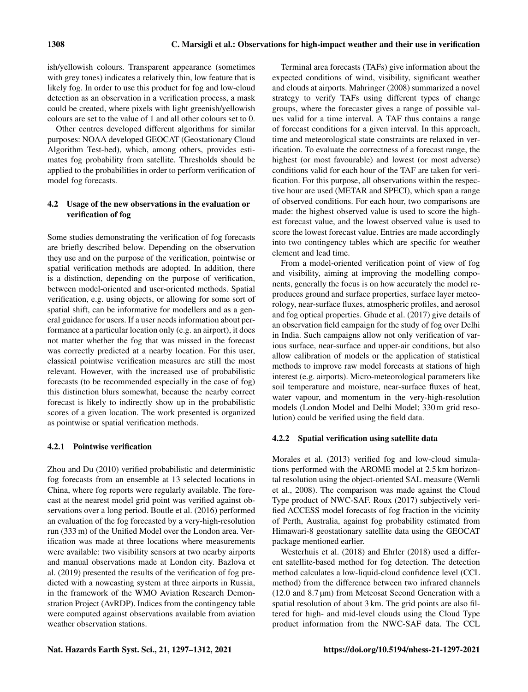ish/yellowish colours. Transparent appearance (sometimes with grey tones) indicates a relatively thin, low feature that is likely fog. In order to use this product for fog and low-cloud detection as an observation in a verification process, a mask could be created, where pixels with light greenish/yellowish colours are set to the value of 1 and all other colours set to 0.

Other centres developed different algorithms for similar purposes: NOAA developed GEOCAT (Geostationary Cloud Algorithm Test-bed), which, among others, provides estimates fog probability from satellite. Thresholds should be applied to the probabilities in order to perform verification of model fog forecasts.

# 4.2 Usage of the new observations in the evaluation or verification of fog

Some studies demonstrating the verification of fog forecasts are briefly described below. Depending on the observation they use and on the purpose of the verification, pointwise or spatial verification methods are adopted. In addition, there is a distinction, depending on the purpose of verification, between model-oriented and user-oriented methods. Spatial verification, e.g. using objects, or allowing for some sort of spatial shift, can be informative for modellers and as a general guidance for users. If a user needs information about performance at a particular location only (e.g. an airport), it does not matter whether the fog that was missed in the forecast was correctly predicted at a nearby location. For this user, classical pointwise verification measures are still the most relevant. However, with the increased use of probabilistic forecasts (to be recommended especially in the case of fog) this distinction blurs somewhat, because the nearby correct forecast is likely to indirectly show up in the probabilistic scores of a given location. The work presented is organized as pointwise or spatial verification methods.

## 4.2.1 Pointwise verification

Zhou and Du (2010) verified probabilistic and deterministic fog forecasts from an ensemble at 13 selected locations in China, where fog reports were regularly available. The forecast at the nearest model grid point was verified against observations over a long period. Boutle et al. (2016) performed an evaluation of the fog forecasted by a very-high-resolution run (333 m) of the Unified Model over the London area. Verification was made at three locations where measurements were available: two visibility sensors at two nearby airports and manual observations made at London city. Bazlova et al. (2019) presented the results of the verification of fog predicted with a nowcasting system at three airports in Russia, in the framework of the WMO Aviation Research Demonstration Project (AvRDP). Indices from the contingency table were computed against observations available from aviation weather observation stations.

Terminal area forecasts (TAFs) give information about the expected conditions of wind, visibility, significant weather and clouds at airports. Mahringer (2008) summarized a novel strategy to verify TAFs using different types of change groups, where the forecaster gives a range of possible values valid for a time interval. A TAF thus contains a range of forecast conditions for a given interval. In this approach, time and meteorological state constraints are relaxed in verification. To evaluate the correctness of a forecast range, the highest (or most favourable) and lowest (or most adverse) conditions valid for each hour of the TAF are taken for verification. For this purpose, all observations within the respective hour are used (METAR and SPECI), which span a range of observed conditions. For each hour, two comparisons are made: the highest observed value is used to score the highest forecast value, and the lowest observed value is used to score the lowest forecast value. Entries are made accordingly into two contingency tables which are specific for weather element and lead time.

From a model-oriented verification point of view of fog and visibility, aiming at improving the modelling components, generally the focus is on how accurately the model reproduces ground and surface properties, surface layer meteorology, near-surface fluxes, atmospheric profiles, and aerosol and fog optical properties. Ghude et al. (2017) give details of an observation field campaign for the study of fog over Delhi in India. Such campaigns allow not only verification of various surface, near-surface and upper-air conditions, but also allow calibration of models or the application of statistical methods to improve raw model forecasts at stations of high interest (e.g. airports). Micro-meteorological parameters like soil temperature and moisture, near-surface fluxes of heat, water vapour, and momentum in the very-high-resolution models (London Model and Delhi Model; 330 m grid resolution) could be verified using the field data.

#### 4.2.2 Spatial verification using satellite data

Morales et al. (2013) verified fog and low-cloud simulations performed with the AROME model at 2.5 km horizontal resolution using the object-oriented SAL measure (Wernli et al., 2008). The comparison was made against the Cloud Type product of NWC-SAF. Roux (2017) subjectively verified ACCESS model forecasts of fog fraction in the vicinity of Perth, Australia, against fog probability estimated from Himawari-8 geostationary satellite data using the GEOCAT package mentioned earlier.

Westerhuis et al. (2018) and Ehrler (2018) used a different satellite-based method for fog detection. The detection method calculates a low-liquid-cloud confidence level (CCL method) from the difference between two infrared channels  $(12.0$  and  $8.7 \,\text{\mu m}$ ) from Meteosat Second Generation with a spatial resolution of about 3 km. The grid points are also filtered for high- and mid-level clouds using the Cloud Type product information from the NWC-SAF data. The CCL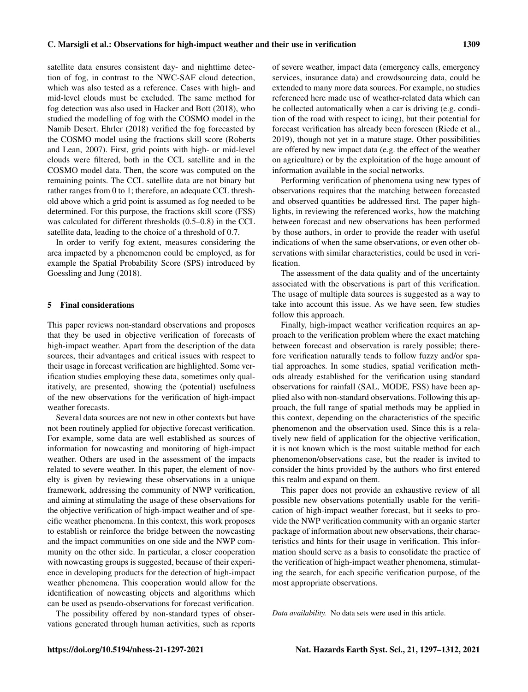satellite data ensures consistent day- and nighttime detection of fog, in contrast to the NWC-SAF cloud detection, which was also tested as a reference. Cases with high- and mid-level clouds must be excluded. The same method for fog detection was also used in Hacker and Bott (2018), who studied the modelling of fog with the COSMO model in the Namib Desert. Ehrler (2018) verified the fog forecasted by the COSMO model using the fractions skill score (Roberts and Lean, 2007). First, grid points with high- or mid-level clouds were filtered, both in the CCL satellite and in the COSMO model data. Then, the score was computed on the remaining points. The CCL satellite data are not binary but rather ranges from 0 to 1; therefore, an adequate CCL threshold above which a grid point is assumed as fog needed to be determined. For this purpose, the fractions skill score (FSS) was calculated for different thresholds (0.5–0.8) in the CCL satellite data, leading to the choice of a threshold of 0.7.

In order to verify fog extent, measures considering the area impacted by a phenomenon could be employed, as for example the Spatial Probability Score (SPS) introduced by Goessling and Jung (2018).

## 5 Final considerations

This paper reviews non-standard observations and proposes that they be used in objective verification of forecasts of high-impact weather. Apart from the description of the data sources, their advantages and critical issues with respect to their usage in forecast verification are highlighted. Some verification studies employing these data, sometimes only qualitatively, are presented, showing the (potential) usefulness of the new observations for the verification of high-impact weather forecasts.

Several data sources are not new in other contexts but have not been routinely applied for objective forecast verification. For example, some data are well established as sources of information for nowcasting and monitoring of high-impact weather. Others are used in the assessment of the impacts related to severe weather. In this paper, the element of novelty is given by reviewing these observations in a unique framework, addressing the community of NWP verification, and aiming at stimulating the usage of these observations for the objective verification of high-impact weather and of specific weather phenomena. In this context, this work proposes to establish or reinforce the bridge between the nowcasting and the impact communities on one side and the NWP community on the other side. In particular, a closer cooperation with nowcasting groups is suggested, because of their experience in developing products for the detection of high-impact weather phenomena. This cooperation would allow for the identification of nowcasting objects and algorithms which can be used as pseudo-observations for forecast verification.

The possibility offered by non-standard types of observations generated through human activities, such as reports of severe weather, impact data (emergency calls, emergency services, insurance data) and crowdsourcing data, could be extended to many more data sources. For example, no studies referenced here made use of weather-related data which can be collected automatically when a car is driving (e.g. condition of the road with respect to icing), but their potential for forecast verification has already been foreseen (Riede et al., 2019), though not yet in a mature stage. Other possibilities are offered by new impact data (e.g. the effect of the weather on agriculture) or by the exploitation of the huge amount of information available in the social networks.

Performing verification of phenomena using new types of observations requires that the matching between forecasted and observed quantities be addressed first. The paper highlights, in reviewing the referenced works, how the matching between forecast and new observations has been performed by those authors, in order to provide the reader with useful indications of when the same observations, or even other observations with similar characteristics, could be used in verification.

The assessment of the data quality and of the uncertainty associated with the observations is part of this verification. The usage of multiple data sources is suggested as a way to take into account this issue. As we have seen, few studies follow this approach.

Finally, high-impact weather verification requires an approach to the verification problem where the exact matching between forecast and observation is rarely possible; therefore verification naturally tends to follow fuzzy and/or spatial approaches. In some studies, spatial verification methods already established for the verification using standard observations for rainfall (SAL, MODE, FSS) have been applied also with non-standard observations. Following this approach, the full range of spatial methods may be applied in this context, depending on the characteristics of the specific phenomenon and the observation used. Since this is a relatively new field of application for the objective verification, it is not known which is the most suitable method for each phenomenon/observations case, but the reader is invited to consider the hints provided by the authors who first entered this realm and expand on them.

This paper does not provide an exhaustive review of all possible new observations potentially usable for the verification of high-impact weather forecast, but it seeks to provide the NWP verification community with an organic starter package of information about new observations, their characteristics and hints for their usage in verification. This information should serve as a basis to consolidate the practice of the verification of high-impact weather phenomena, stimulating the search, for each specific verification purpose, of the most appropriate observations.

*Data availability.* No data sets were used in this article.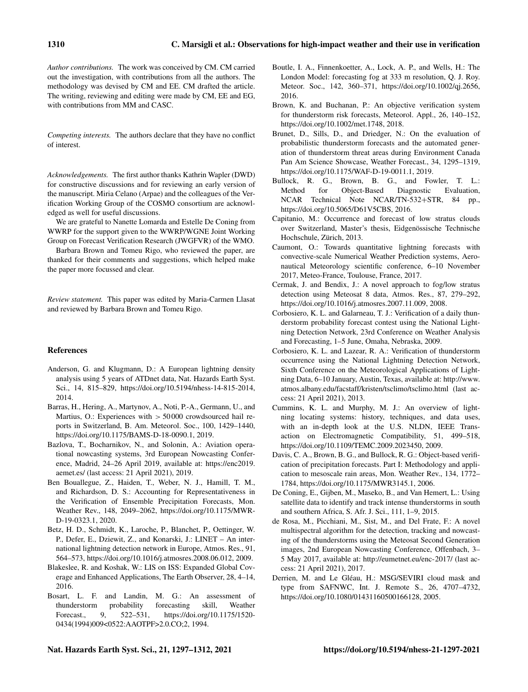*Author contributions.* The work was conceived by CM. CM carried out the investigation, with contributions from all the authors. The methodology was devised by CM and EE. CM drafted the article. The writing, reviewing and editing were made by CM, EE and EG, with contributions from MM and CASC.

*Competing interests.* The authors declare that they have no conflict of interest.

*Acknowledgements.* The first author thanks Kathrin Wapler (DWD) for constructive discussions and for reviewing an early version of the manuscript. Miria Celano (Arpae) and the colleagues of the Verification Working Group of the COSMO consortium are acknowledged as well for useful discussions.

We are grateful to Nanette Lomarda and Estelle De Coning from WWRP for the support given to the WWRP/WGNE Joint Working Group on Forecast Verification Research (JWGFVR) of the WMO.

Barbara Brown and Tomeu Rigo, who reviewed the paper, are thanked for their comments and suggestions, which helped make the paper more focussed and clear.

*Review statement.* This paper was edited by Maria-Carmen Llasat and reviewed by Barbara Brown and Tomeu Rigo.

#### References

- Anderson, G. and Klugmann, D.: A European lightning density analysis using 5 years of ATDnet data, Nat. Hazards Earth Syst. Sci., 14, 815–829, https://doi.org[/10.5194/nhess-14-815-2014,](https://doi.org/10.5194/nhess-14-815-2014) 2014.
- Barras, H., Hering, A., Martynov, A., Noti, P.-A., Germann, U., and Martius, O.: Experiences with > 50 000 crowdsourced hail reports in Switzerland, B. Am. Meteorol. Soc., 100, 1429–1440, https://doi.org[/10.1175/BAMS-D-18-0090.1,](https://doi.org/10.1175/BAMS-D-18-0090.1) 2019.
- Bazlova, T., Bocharnikov, N., and Solonin, A.: Aviation operational nowcasting systems, 3rd European Nowcasting Conference, Madrid, 24–26 April 2019, available at: [https://enc2019.](https://enc2019.aemet.es/) [aemet.es/](https://enc2019.aemet.es/) (last access: 21 April 2021), 2019.
- Ben Bouallegue, Z., Haiden, T., Weber, N. J., Hamill, T. M., and Richardson, D. S.: Accounting for Representativeness in the Verification of Ensemble Precipitation Forecasts, Mon. Weather Rev., 148, 2049–2062, https://doi.org[/10.1175/MWR-](https://doi.org/10.1175/MWR-D-19-0323.1)[D-19-0323.1,](https://doi.org/10.1175/MWR-D-19-0323.1) 2020.
- Betz, H. D., Schmidt, K., Laroche, P., Blanchet, P., Oettinger, W. P., Defer, E., Dziewit, Z., and Konarski, J.: LINET – An international lightning detection network in Europe, Atmos. Res., 91, 564–573, https://doi.org[/10.1016/j.atmosres.2008.06.012,](https://doi.org/10.1016/j.atmosres.2008.06.012) 2009.
- Blakeslee, R. and Koshak, W.: LIS on ISS: Expanded Global Coverage and Enhanced Applications, The Earth Observer, 28, 4–14, 2016.
- Bosart, L. F. and Landin, M. G.: An assessment of thunderstorm probability forecasting skill, Weather Forecast., 9, 522–531, https://doi.org[/10.1175/1520-](https://doi.org/10.1175/1520-0434(1994)009<0522:AAOTPF>2.0.CO;2) [0434\(1994\)009<0522:AAOTPF>2.0.CO;2,](https://doi.org/10.1175/1520-0434(1994)009<0522:AAOTPF>2.0.CO;2) 1994.
- Boutle, I. A., Finnenkoetter, A., Lock, A. P., and Wells, H.: The London Model: forecasting fog at 333 m resolution, Q. J. Roy. Meteor. Soc., 142, 360–371, https://doi.org[/10.1002/qj.2656,](https://doi.org/10.1002/qj.2656) 2016.
- Brown, K. and Buchanan, P.: An objective verification system for thunderstorm risk forecasts, Meteorol. Appl., 26, 140–152, https://doi.org[/10.1002/met.1748,](https://doi.org/10.1002/met.1748) 2018.
- Brunet, D., Sills, D., and Driedger, N.: On the evaluation of probabilistic thunderstorm forecasts and the automated generation of thunderstorm threat areas during Environment Canada Pan Am Science Showcase, Weather Forecast., 34, 1295–1319, https://doi.org[/10.1175/WAF-D-19-0011.1,](https://doi.org/10.1175/WAF-D-19-0011.1) 2019.
- Bullock, R. G., Brown, B. G., and Fowler, T. L.: Method for Object-Based Diagnostic Evaluation, NCAR Technical Note NCAR/TN-532+STR, 84 pp., https://doi.org[/10.5065/D61V5CBS,](https://doi.org/10.5065/D61V5CBS) 2016.
- Capitanio, M.: Occurrence and forecast of low stratus clouds over Switzerland, Master's thesis, Eidgenössische Technische Hochschule, Zürich, 2013.
- Caumont, O.: Towards quantitative lightning forecasts with convective-scale Numerical Weather Prediction systems, Aeronautical Meteorology scientific conference, 6–10 November 2017, Meteo-France, Toulouse, France, 2017.
- Cermak, J. and Bendix, J.: A novel approach to fog/low stratus detection using Meteosat 8 data, Atmos. Res., 87, 279–292, https://doi.org[/10.1016/j.atmosres.2007.11.009,](https://doi.org/10.1016/j.atmosres.2007.11.009) 2008.
- Corbosiero, K. L. and Galarneau, T. J.: Verification of a daily thunderstorm probability forecast contest using the National Lightning Detection Network, 23rd Conference on Weather Analysis and Forecasting, 1–5 June, Omaha, Nebraska, 2009.
- Corbosiero, K. L. and Lazear, R. A.: Verification of thunderstorm occurrence using the National Lightning Detection Network, Sixth Conference on the Meteorological Applications of Lightning Data, 6–10 January, Austin, Texas, available at: [http://www.](http://www.atmos.albany.edu/facstaff/kristen/tsclimo/tsclimo.html) [atmos.albany.edu/facstaff/kristen/tsclimo/tsclimo.html](http://www.atmos.albany.edu/facstaff/kristen/tsclimo/tsclimo.html) (last access: 21 April 2021), 2013.
- Cummins, K. L. and Murphy, M. J.: An overview of lightning locating systems: history, techniques, and data uses, with an in-depth look at the U.S. NLDN, IEEE Transaction on Electromagnetic Compatibility, 51, 499–518, https://doi.org[/10.1109/TEMC.2009.2023450,](https://doi.org/10.1109/TEMC.2009.2023450) 2009.
- Davis, C. A., Brown, B. G., and Bullock, R. G.: Object-based verification of precipitation forecasts. Part I: Methodology and application to mesoscale rain areas, Mon. Weather Rev., 134, 1772– 1784, https://doi.org[/10.1175/MWR3145.1,](https://doi.org/10.1175/MWR3145.1) 2006.
- De Coning, E., Gijben, M., Maseko, B., and Van Hemert, L.: Using satellite data to identify and track intense thunderstorms in south and southern Africa, S. Afr. J. Sci., 111, 1–9, 2015.
- de Rosa, M., Picchiani, M., Sist, M., and Del Frate, F.: A novel multispectral algorithm for the detection, tracking and nowcasting of the thunderstorms using the Meteosat Second Generation images, 2nd European Nowcasting Conference, Offenbach, 3– 5 May 2017, available at: <http://eumetnet.eu/enc-2017/> (last access: 21 April 2021), 2017.
- Derrien, M. and Le Gléau, H.: MSG/SEVIRI cloud mask and type from SAFNWC, Int. J. Remote S., 26, 4707–4732, https://doi.org[/10.1080/01431160500166128,](https://doi.org/10.1080/01431160500166128) 2005.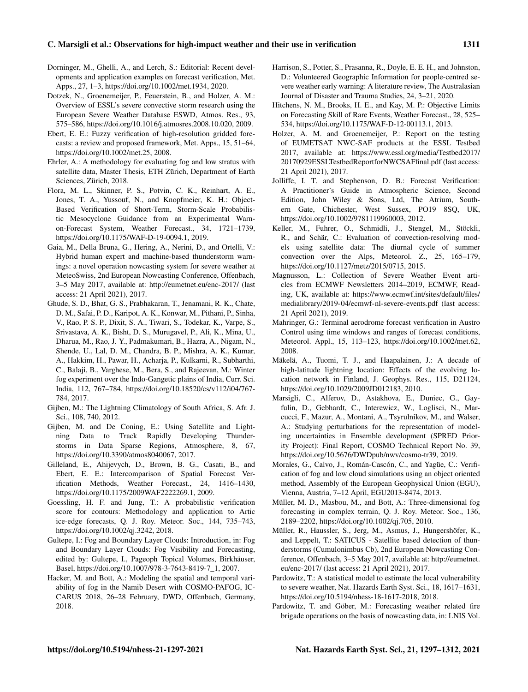#### C. Marsigli et al.: Observations for high-impact weather and their use in verification 1311

- Dorninger, M., Ghelli, A., and Lerch, S.: Editorial: Recent developments and application examples on forecast verification, Met. Apps., 27, 1–3, https://doi.org[/10.1002/met.1934,](https://doi.org/10.1002/met.1934) 2020.
- Dotzek, N., Groenemeijer, P., Feuerstein, B., and Holzer, A. M.: Overview of ESSL's severe convective storm research using the European Severe Weather Database ESWD, Atmos. Res., 93, 575–586, https://doi.org[/10.1016/j.atmosres.2008.10.020,](https://doi.org/10.1016/j.atmosres.2008.10.020) 2009.
- Ebert, E. E.: Fuzzy verification of high-resolution gridded forecasts: a review and proposed framework, Met. Apps., 15, 51–64, https://doi.org[/10.1002/met.25,](https://doi.org/10.1002/met.25) 2008.
- Ehrler, A.: A methodology for evaluating fog and low stratus with satellite data, Master Thesis, ETH Zürich, Department of Earth Sciences, Zürich, 2018.
- Flora, M. L., Skinner, P. S., Potvin, C. K., Reinhart, A. E., Jones, T. A., Yussouf, N., and Knopfmeier, K. H.: Object-Based Verification of Short-Term, Storm-Scale Probabilistic Mesocyclone Guidance from an Experimental Warnon-Forecast System, Weather Forecast., 34, 1721–1739, https://doi.org[/10.1175/WAF-D-19-0094.1,](https://doi.org/10.1175/WAF-D-19-0094.1) 2019.
- Gaia, M., Della Bruna, G., Hering, A., Nerini, D., and Ortelli, V.: Hybrid human expert and machine-based thunderstorm warnings: a novel operation nowcasting system for severe weather at MeteoSwiss, 2nd European Nowcasting Conference, Offenbach, 3–5 May 2017, available at: <http://eumetnet.eu/enc-2017/> (last access: 21 April 2021), 2017.
- Ghude, S. D., Bhat, G. S., Prabhakaran, T., Jenamani, R. K., Chate, D. M., Safai, P. D., Karipot, A. K., Konwar, M., Pithani, P., Sinha, V., Rao, P. S. P., Dixit, S. A., Tiwari, S., Todekar, K., Varpe, S., Srivastava, A. K., Bisht, D. S., Murugavel, P., Ali, K., Mina, U., Dharua, M., Rao, J. Y., Padmakumari, B., Hazra, A., Nigam, N., Shende, U., Lal, D. M., Chandra, B. P., Mishra, A. K., Kumar, A., Hakkim, H., Pawar, H., Acharja, P., Kulkarni, R., Subharthi, C., Balaji, B., Varghese, M., Bera, S., and Rajeevan, M.: Winter fog experiment over the Indo-Gangetic plains of India, Curr. Sci. India, 112, 767–784, https://doi.org[/10.18520/cs/v112/i04/767-](https://doi.org/10.18520/cs/v112/i04/767-784) [784,](https://doi.org/10.18520/cs/v112/i04/767-784) 2017.
- Gijben, M.: The Lightning Climatology of South Africa, S. Afr. J. Sci., 108, 740, 2012.
- Gijben, M. and De Coning, E.: Using Satellite and Lightning Data to Track Rapidly Developing Thunderstorms in Data Sparse Regions, Atmosphere, 8, 67, https://doi.org[/10.3390/atmos8040067,](https://doi.org/10.3390/atmos8040067) 2017.
- Gilleland, E., Ahijevych, D., Brown, B. G., Casati, B., and Ebert, E. E.: Intercomparison of Spatial Forecast Verification Methods, Weather Forecast., 24, 1416–1430, https://doi.org[/10.1175/2009WAF2222269.1,](https://doi.org/10.1175/2009WAF2222269.1) 2009.
- Goessling, H. F. and Jung, T.: A probabilistic verification score for contours: Methodology and application to Artic ice-edge forecasts, Q. J. Roy. Meteor. Soc., 144, 735–743, https://doi.org[/10.1002/qj.3242,](https://doi.org/10.1002/qj.3242) 2018.
- Gultepe, I.: Fog and Boundary Layer Clouds: Introduction, in: Fog and Boundary Layer Clouds: Fog Visibility and Forecasting, edited by: Gultepe, I., Pageoph Topical Volumes, Birkhäuser, Basel, https://doi.org[/10.1007/978-3-7643-8419-7\\_1,](https://doi.org/10.1007/978-3-7643-8419-7_1) 2007.
- Hacker, M. and Bott, A.: Modeling the spatial and temporal variability of fog in the Namib Desert with COSMO-PAFOG, IC-CARUS 2018, 26–28 February, DWD, Offenbach, Germany, 2018.
- Harrison, S., Potter, S., Prasanna, R., Doyle, E. E. H., and Johnston, D.: Volunteered Geographic Information for people-centred severe weather early warning: A literature review, The Australasian Journal of Disaster and Trauma Studies, 24, 3–21, 2020.
- Hitchens, N. M., Brooks, H. E., and Kay, M. P.: Objective Limits on Forecasting Skill of Rare Events, Weather Forecast., 28, 525– 534, https://doi.org[/10.1175/WAF-D-12-00113.1,](https://doi.org/10.1175/WAF-D-12-00113.1) 2013.
- Holzer, A. M. and Groenemeijer, P.: Report on the testing of EUMETSAT NWC-SAF products at the ESSL Testbed 2017, available at: [https://www.essl.org/media/Testbed2017/](https://www.essl.org/media/Testbed2017/20170929ESSLTestbedReportforNWCSAFfinal.pdf) [20170929ESSLTestbedReportforNWCSAFfinal.pdf](https://www.essl.org/media/Testbed2017/20170929ESSLTestbedReportforNWCSAFfinal.pdf) (last access: 21 April 2021), 2017.
- Jolliffe, I. T. and Stephenson, D. B.: Forecast Verification: A Practitioner's Guide in Atmospheric Science, Second Edition, John Wiley & Sons, Ltd, The Atrium, Southern Gate, Chichester, West Sussex, PO19 8SQ, UK, https://doi.org[/10.1002/9781119960003,](https://doi.org/10.1002/9781119960003) 2012.
- Keller, M., Fuhrer, O., Schmidli, J., Stengel, M., Stöckli, R., and Schär, C.: Evaluation of convection-resolving models using satellite data: The diurnal cycle of summer convection over the Alps, Meteorol. Z., 25, 165–179, https://doi.org[/10.1127/metz/2015/0715,](https://doi.org/10.1127/metz/2015/0715) 2015.
- Magnusson, L.: Collection of Severe Weather Event articles from ECMWF Newsletters 2014–2019, ECMWF, Reading, UK, available at: [https://www.ecmwf.int/sites/default/files/](https://www.ecmwf.int/sites/default/files/medialibrary/2019-04/ecmwf-nl-severe-events.pdf) [medialibrary/2019-04/ecmwf-nl-severe-events.pdf](https://www.ecmwf.int/sites/default/files/medialibrary/2019-04/ecmwf-nl-severe-events.pdf) (last access: 21 April 2021), 2019.
- Mahringer, G.: Terminal aerodrome forecast verification in Austro Control using time windows and ranges of forecast conditions, Meteorol. Appl., 15, 113–123, https://doi.org[/10.1002/met.62,](https://doi.org/10.1002/met.62) 2008.
- Mäkelä, A., Tuomi, T. J., and Haapalainen, J.: A decade of high-latitude lightning location: Effects of the evolving location network in Finland, J. Geophys. Res., 115, D21124, https://doi.org[/10.1029/2009JD012183,](https://doi.org/10.1029/2009JD012183) 2010.
- Marsigli, C., Alferov, D., Astakhova, E., Duniec, G., Gayfulin, D., Gebhardt, C., Interewicz, W., Loglisci, N., Marcucci, F., Mazur, A., Montani, A., Tsyrulnikov, M., and Walser, A.: Studying perturbations for the representation of modeling uncertainties in Ensemble development (SPRED Priority Project): Final Report, COSMO Technical Report No. 39, https://doi.org[/10.5676/DWDpub/nwv/cosmo-tr39,](https://doi.org/10.5676/DWDpub/nwv/cosmo-tr39) 2019.
- Morales, G., Calvo, J., Román-Cascón, C., and Yagüe, C.: Verification of fog and low cloud simulations using an object oriented method, Assembly of the European Geophysical Union (EGU), Vienna, Austria, 7–12 April, EGU2013-8474, 2013.
- Müller, M. D., Masbou, M., and Bott, A.: Three-dimensional fog forecasting in complex terrain, Q. J. Roy. Meteor. Soc., 136, 2189–2202, https://doi.org[/10.1002/qj.705,](https://doi.org/10.1002/qj.705) 2010.
- Müller, R., Haussler, S., Jerg, M., Asmus, J., Hungershöfer, K., and Leppelt, T.: SATICUS - Satellite based detection of thunderstorms (Cumulonimbus Cb), 2nd European Nowcasting Conference, Offenbach, 3–5 May 2017, available at: [http://eumetnet.](http://eumetnet.eu/enc-2017/) [eu/enc-2017/](http://eumetnet.eu/enc-2017/) (last access: 21 April 2021), 2017.
- Pardowitz, T.: A statistical model to estimate the local vulnerability to severe weather, Nat. Hazards Earth Syst. Sci., 18, 1617–1631, https://doi.org[/10.5194/nhess-18-1617-2018,](https://doi.org/10.5194/nhess-18-1617-2018) 2018.
- Pardowitz, T. and Göber, M.: Forecasting weather related fire brigade operations on the basis of nowcasting data, in: LNIS Vol.